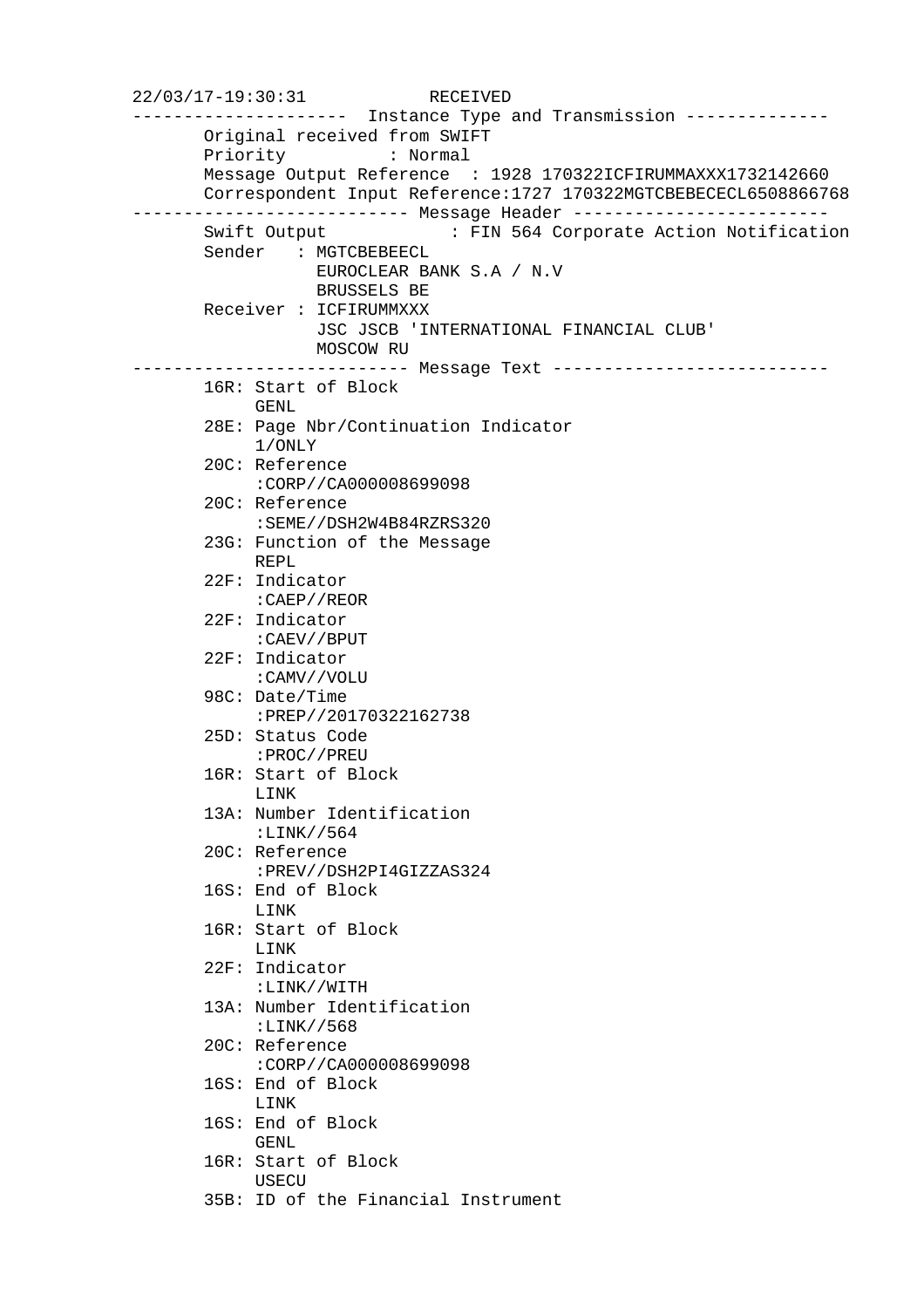22/03/17-19:30:31 RECEIVED --------------------- Instance Type and Transmission -------------- Original received from SWIFT Priority : Normal Message Output Reference : 1928 170322ICFIRUMMAXXX1732142660 Correspondent Input Reference:1727 170322MGTCBEBECECL6508866768 --------------------------- Message Header ------------------------- : FIN 564 Corporate Action Notification Sender : MGTCBEBEECL EUROCLEAR BANK S.A / N.V BRUSSELS BE Receiver : ICFIRUMMXXX JSC JSCB 'INTERNATIONAL FINANCIAL CLUB' MOSCOW RU --------------------------- Message Text --------------------------- 16R: Start of Block GENL 28E: Page Nbr/Continuation Indicator 1/ONLY 20C: Reference :CORP//CA000008699098 20C: Reference :SEME//DSH2W4B84RZRS320 23G: Function of the Message REPL 22F: Indicator :CAEP//REOR 22F: Indicator :CAEV//BPUT 22F: Indicator :CAMV//VOLU 98C: Date/Time :PREP//20170322162738 25D: Status Code :PROC//PREU 16R: Start of Block LINK 13A: Number Identification :LINK//564 20C: Reference :PREV//DSH2PI4GIZZAS324 16S: End of Block LINK 16R: Start of Block LINK 22F: Indicator :LINK//WITH 13A: Number Identification :LINK//568 20C: Reference :CORP//CA000008699098 16S: End of Block LINK 16S: End of Block GENL 16R: Start of Block USECU 35B: ID of the Financial Instrument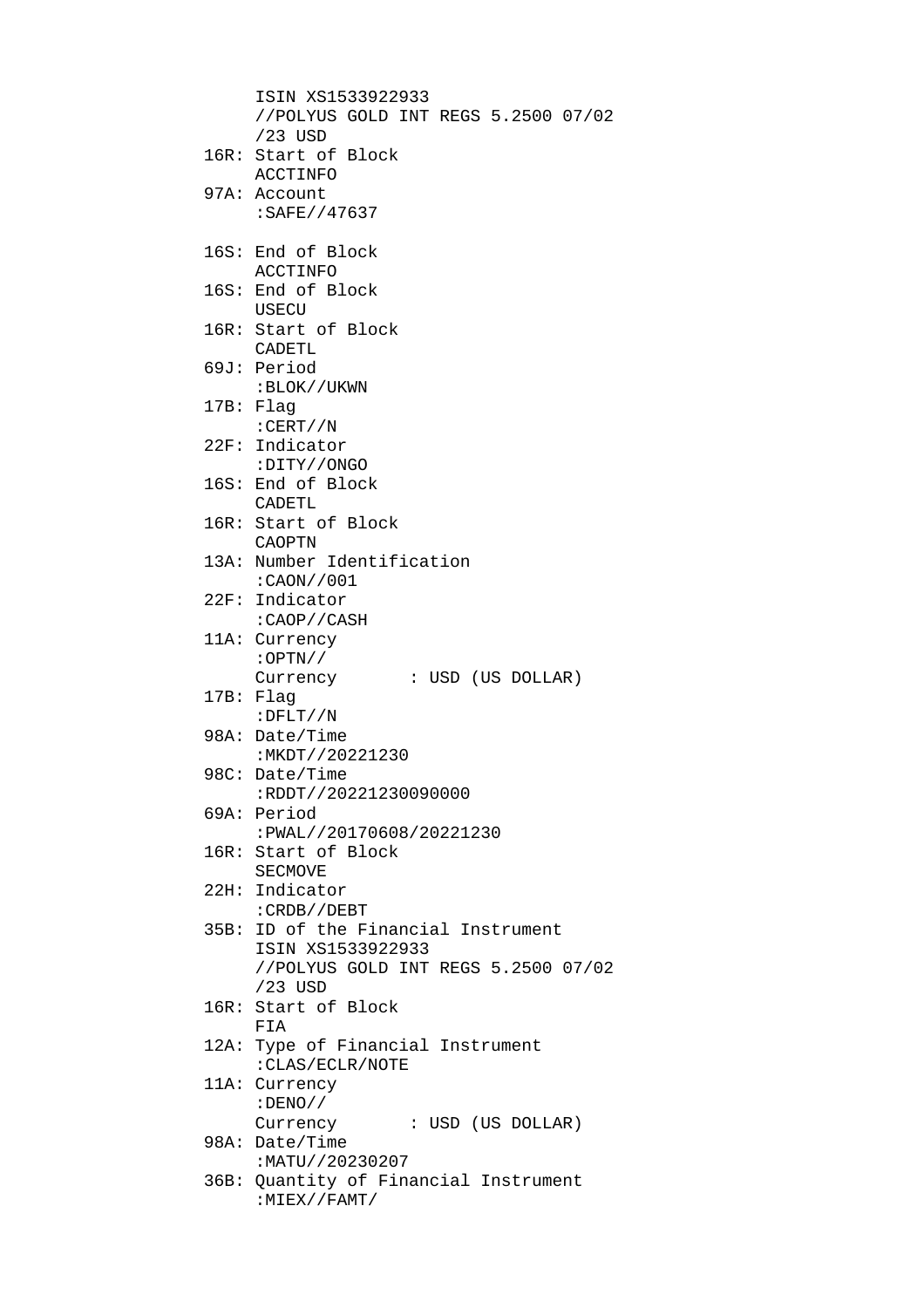```
 ISIN XS1533922933 
     //POLYUS GOLD INT REGS 5.2500 07/02 
     /23 USD 
16R: Start of Block 
     ACCTINFO 
97A: Account 
     :SAFE//47637 
16S: End of Block 
     ACCTINFO 
16S: End of Block 
     USECU 
16R: Start of Block 
     CADETL 
69J: Period 
     :BLOK//UKWN 
17B: Flag 
     :CERT//N 
22F: Indicator 
     :DITY//ONGO 
16S: End of Block 
     CADETL 
16R: Start of Block 
     CAOPTN 
13A: Number Identification 
     :CAON//001 
22F: Indicator 
     :CAOP//CASH 
11A: Currency 
     :OPTN// 
     Currency : USD (US DOLLAR) 
17B: Flag 
     :DFLT//N 
98A: Date/Time 
     :MKDT//20221230 
98C: Date/Time 
     :RDDT//20221230090000 
69A: Period 
     :PWAL//20170608/20221230 
16R: Start of Block 
     SECMOVE 
22H: Indicator 
     :CRDB//DEBT 
35B: ID of the Financial Instrument 
     ISIN XS1533922933 
     //POLYUS GOLD INT REGS 5.2500 07/02 
     /23 USD 
16R: Start of Block 
     FIA 
12A: Type of Financial Instrument 
     :CLAS/ECLR/NOTE 
11A: Currency 
     :DENO// 
    Currency : USD (US DOLLAR)
98A: Date/Time 
     :MATU//20230207 
36B: Quantity of Financial Instrument 
     :MIEX//FAMT/
```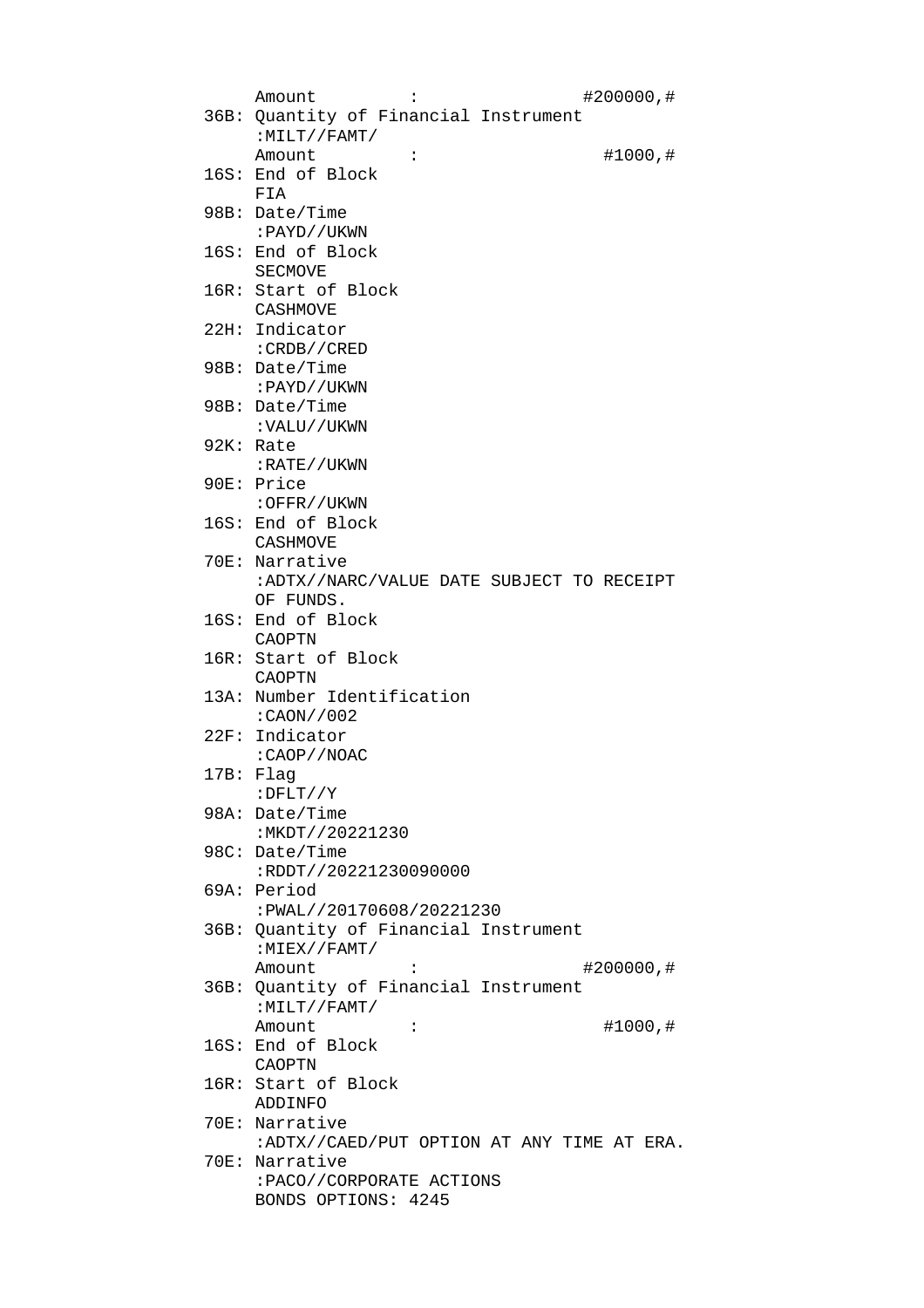| $\ddot{\cdot}$<br>Amount<br>#200000,#      |
|--------------------------------------------|
| 36B: Quantity of Financial Instrument      |
| $:$ MILT//FAMT/                            |
| #1000,#<br>Amount<br>$\ddot{\cdot}$        |
| 16S: End of Block                          |
| FTA                                        |
| 98B: Date/Time                             |
| :PAYD//UKWN                                |
| 16S: End of Block                          |
| SECMOVE                                    |
| 16R: Start of Block                        |
| CASHMOVE                                   |
| 22H: Indicator                             |
| : CRDB//CRED                               |
| $98B:$ Date/Time                           |
| : PAYD//UKWN                               |
| 98B: Date/Time                             |
| : VALU//UKWN                               |
| 92K: Rate                                  |
| :RATE//UKWN                                |
| 90E: Price                                 |
| :OFFR//UKWN                                |
| 16S: End of Block                          |
| CASHMOVE                                   |
| 70E: Narrative                             |
| :ADTX//NARC/VALUE DATE SUBJECT TO RECEIPT  |
| OF FUNDS.                                  |
|                                            |
| 16S: End of Block                          |
| CAOPTN                                     |
| 16R: Start of Block<br>CAOPTN              |
|                                            |
| 13A: Number Identification                 |
| :CAON//002                                 |
| 22F: Indicator                             |
| : CAOP / /NOAC<br>17B: Flag                |
| $:$ DFLT//Y                                |
| 98A: Date/Time                             |
| : MKDT//20221230                           |
| 98C: Date/Time                             |
| :RDDT//20221230090000                      |
| 69A: Period                                |
| :PWAL//20170608/20221230                   |
| 36B: Quantity of Financial Instrument      |
| $:$ MIEX / / FAMT /                        |
| Amount<br>#200000,#                        |
| 36B: Quantity of Financial Instrument      |
| $:$ MILT//FAMT/                            |
| Amount<br>#1000,#<br>$\ddot{\cdot}$        |
| 16S: End of Block                          |
| CAOPTN                                     |
| 16R: Start of Block                        |
| ADDINFO                                    |
| 70E: Narrative                             |
| :ADTX//CAED/PUT OPTION AT ANY TIME AT ERA. |
| 70E: Narrative                             |
| : PACO//CORPORATE ACTIONS                  |
| BONDS OPTIONS: 4245                        |
|                                            |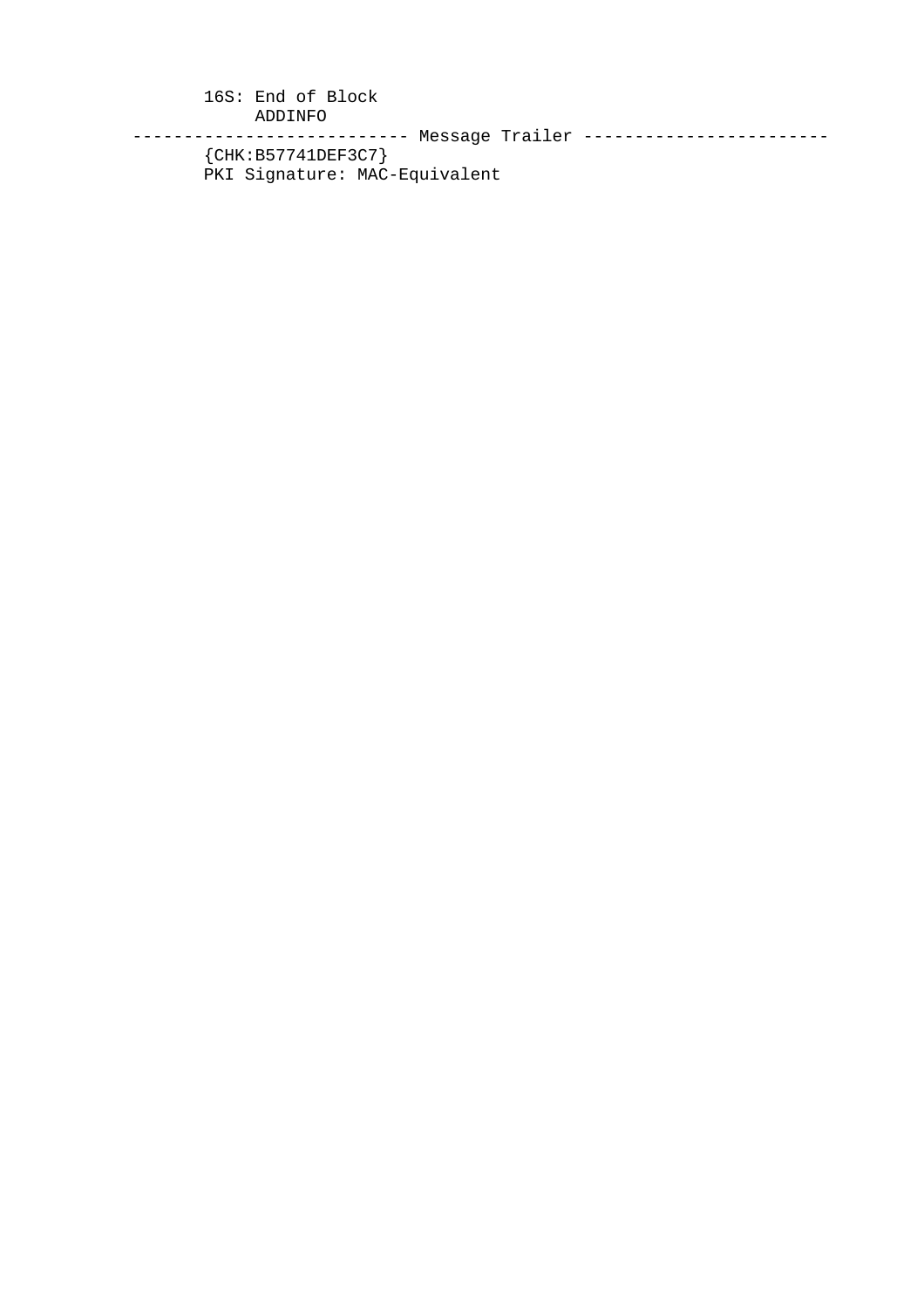16S: End of Block ADDINFO --------------------------- Message Trailer ------------------------ {CHK:B57741DEF3C7} PKI Signature: MAC-Equivalent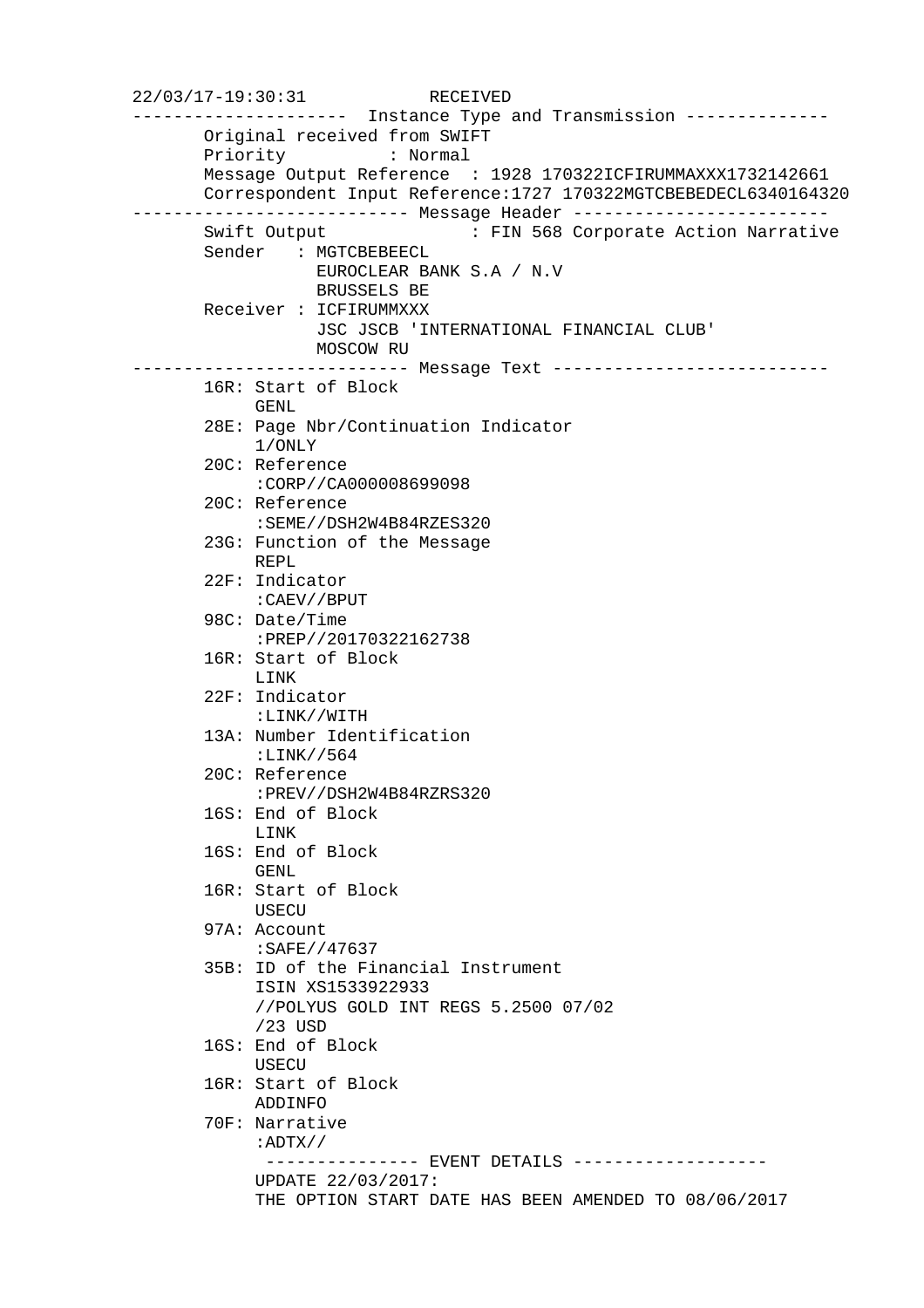22/03/17-19:30:31 RECEIVED --------------------- Instance Type and Transmission -------------- Original received from SWIFT Priority : Normal Message Output Reference : 1928 170322ICFIRUMMAXXX1732142661 Correspondent Input Reference:1727 170322MGTCBEBEDECL6340164320 --------------------------- Message Header ------------------------- Swift Output : FIN 568 Corporate Action Narrative Sender : MGTCBEBEECL EUROCLEAR BANK S.A / N.V BRUSSELS BE Receiver : ICFIRUMMXXX JSC JSCB 'INTERNATIONAL FINANCIAL CLUB' MOSCOW RU --------------------------- Message Text --------------------------- 16R: Start of Block GENL. 28E: Page Nbr/Continuation Indicator 1/ONLY 20C: Reference :CORP//CA000008699098 20C: Reference :SEME//DSH2W4B84RZES320 23G: Function of the Message REPL 22F: Indicator :CAEV//BPUT 98C: Date/Time :PREP//20170322162738 16R: Start of Block LINK 22F: Indicator :LINK//WITH 13A: Number Identification :LINK//564 20C: Reference :PREV//DSH2W4B84RZRS320 16S: End of Block LINK 16S: End of Block GENL 16R: Start of Block USECU 97A: Account :SAFE//47637 35B: ID of the Financial Instrument ISIN XS1533922933 //POLYUS GOLD INT REGS 5.2500 07/02 /23 USD 16S: End of Block USECU 16R: Start of Block ADDINFO 70F: Narrative :ADTX// -------------- EVENT DETAILS ------------------ UPDATE 22/03/2017: THE OPTION START DATE HAS BEEN AMENDED TO 08/06/2017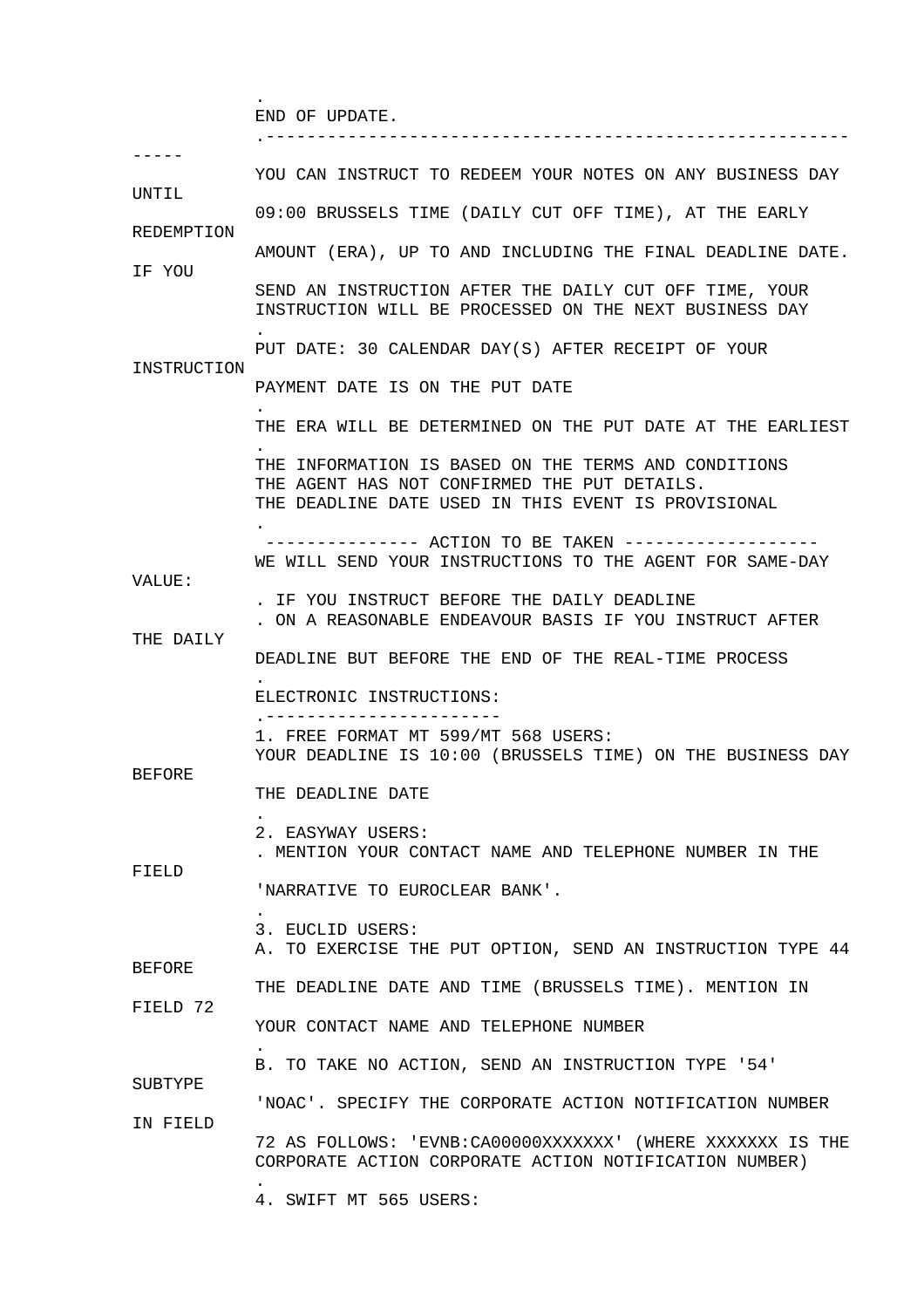END OF UPDATE.

.

 .--------------------------------------------------------- ----- YOU CAN INSTRUCT TO REDEEM YOUR NOTES ON ANY BUSINESS DAY INTIL. 09:00 BRUSSELS TIME (DAILY CUT OFF TIME), AT THE EARLY REDEMPTION AMOUNT (ERA), UP TO AND INCLUDING THE FINAL DEADLINE DATE. IF YOU SEND AN INSTRUCTION AFTER THE DAILY CUT OFF TIME, YOUR INSTRUCTION WILL BE PROCESSED ON THE NEXT BUSINESS DAY . PUT DATE: 30 CALENDAR DAY(S) AFTER RECEIPT OF YOUR INSTRUCTION PAYMENT DATE IS ON THE PUT DATE . THE ERA WILL BE DETERMINED ON THE PUT DATE AT THE EARLIEST . THE INFORMATION IS BASED ON THE TERMS AND CONDITIONS THE AGENT HAS NOT CONFIRMED THE PUT DETAILS. THE DEADLINE DATE USED IN THIS EVENT IS PROVISIONAL . --------------- ACTION TO BE TAKEN ------------------- WE WILL SEND YOUR INSTRUCTIONS TO THE AGENT FOR SAME-DAY VALUE: . IF YOU INSTRUCT BEFORE THE DAILY DEADLINE . ON A REASONABLE ENDEAVOUR BASIS IF YOU INSTRUCT AFTER THE DAILY DEADLINE BUT BEFORE THE END OF THE REAL-TIME PROCESS . ELECTRONIC INSTRUCTIONS: .----------------------- 1. FREE FORMAT MT 599/MT 568 USERS: YOUR DEADLINE IS 10:00 (BRUSSELS TIME) ON THE BUSINESS DAY BEFORE THE DEADLINE DATE . 2. EASYWAY USERS: . MENTION YOUR CONTACT NAME AND TELEPHONE NUMBER IN THE FIELD 'NARRATIVE TO EUROCLEAR BANK'. . 3. EUCLID USERS: A. TO EXERCISE THE PUT OPTION, SEND AN INSTRUCTION TYPE 44 BEFORE THE DEADLINE DATE AND TIME (BRUSSELS TIME). MENTION IN FIELD 72 YOUR CONTACT NAME AND TELEPHONE NUMBER . B. TO TAKE NO ACTION, SEND AN INSTRUCTION TYPE '54' SUBTYPE 'NOAC'. SPECIFY THE CORPORATE ACTION NOTIFICATION NUMBER IN FIELD 72 AS FOLLOWS: 'EVNB:CA00000XXXXXXX' (WHERE XXXXXXX IS THE CORPORATE ACTION CORPORATE ACTION NOTIFICATION NUMBER) . 4. SWIFT MT 565 USERS: